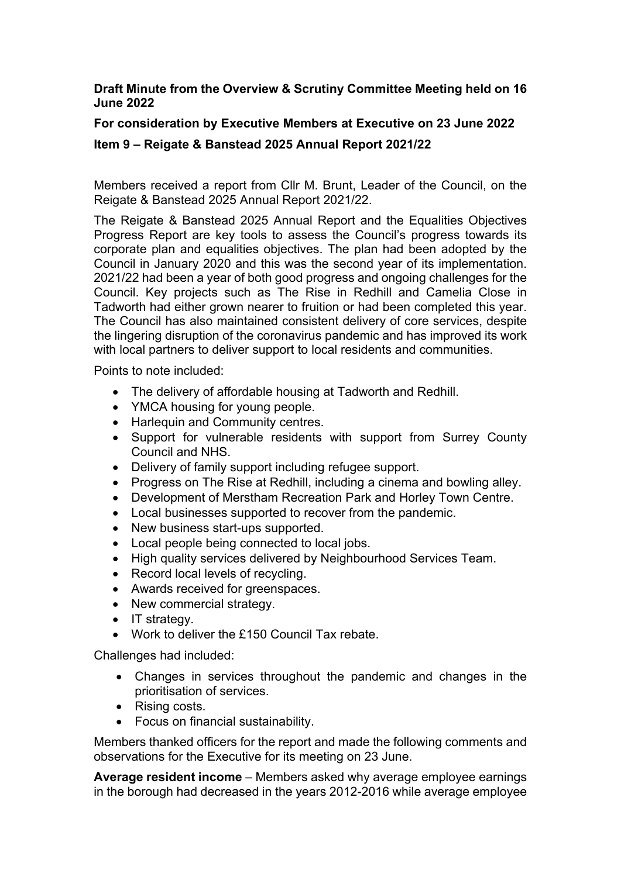## **Draft Minute from the Overview & Scrutiny Committee Meeting held on 16 June 2022**

## **For consideration by Executive Members at Executive on 23 June 2022**

## **Item 9 – Reigate & Banstead 2025 Annual Report 2021/22**

Members received a report from Cllr M. Brunt, Leader of the Council, on the Reigate & Banstead 2025 Annual Report 2021/22.

The Reigate & Banstead 2025 Annual Report and the Equalities Objectives Progress Report are key tools to assess the Council's progress towards its corporate plan and equalities objectives. The plan had been adopted by the Council in January 2020 and this was the second year of its implementation. 2021/22 had been a year of both good progress and ongoing challenges for the Council. Key projects such as The Rise in Redhill and Camelia Close in Tadworth had either grown nearer to fruition or had been completed this year. The Council has also maintained consistent delivery of core services, despite the lingering disruption of the coronavirus pandemic and has improved its work with local partners to deliver support to local residents and communities.

Points to note included:

- The delivery of affordable housing at Tadworth and Redhill.
- YMCA housing for young people.
- Harlequin and Community centres.
- Support for vulnerable residents with support from Surrey County Council and NHS.
- Delivery of family support including refugee support.
- Progress on The Rise at Redhill, including a cinema and bowling alley.
- Development of Merstham Recreation Park and Horley Town Centre.
- Local businesses supported to recover from the pandemic.
- New business start-ups supported.
- Local people being connected to local jobs.
- High quality services delivered by Neighbourhood Services Team.
- Record local levels of recycling.
- Awards received for greenspaces.
- New commercial strategy.
- $\bullet$  IT strategy.
- Work to deliver the £150 Council Tax rebate.

Challenges had included:

- Changes in services throughout the pandemic and changes in the prioritisation of services.
- Rising costs.
- Focus on financial sustainability.

Members thanked officers for the report and made the following comments and observations for the Executive for its meeting on 23 June.

**Average resident income** – Members asked why average employee earnings in the borough had decreased in the years 2012-2016 while average employee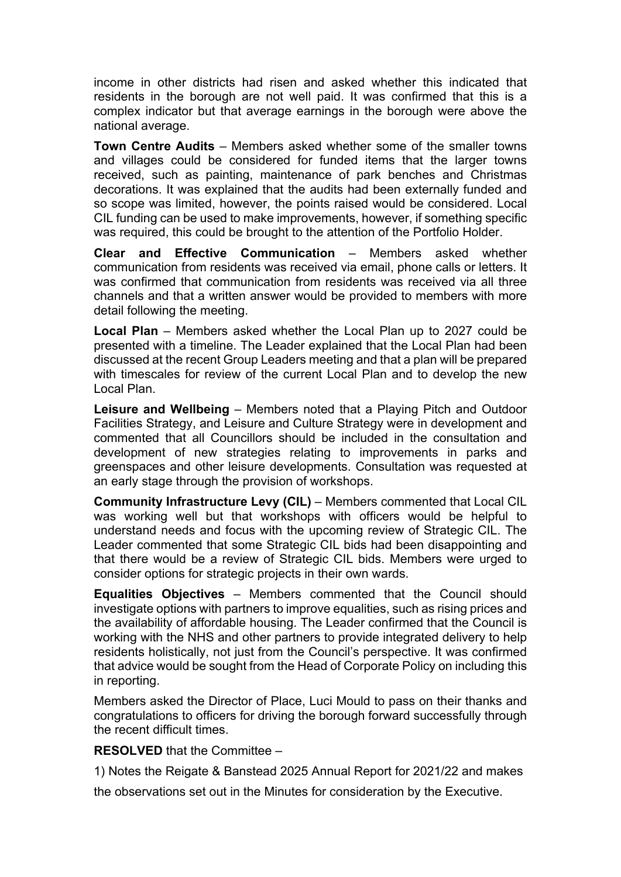income in other districts had risen and asked whether this indicated that residents in the borough are not well paid. It was confirmed that this is a complex indicator but that average earnings in the borough were above the national average.

**Town Centre Audits** – Members asked whether some of the smaller towns and villages could be considered for funded items that the larger towns received, such as painting, maintenance of park benches and Christmas decorations. It was explained that the audits had been externally funded and so scope was limited, however, the points raised would be considered. Local CIL funding can be used to make improvements, however, if something specific was required, this could be brought to the attention of the Portfolio Holder.

**Clear and Effective Communication** – Members asked whether communication from residents was received via email, phone calls or letters. It was confirmed that communication from residents was received via all three channels and that a written answer would be provided to members with more detail following the meeting.

**Local Plan** – Members asked whether the Local Plan up to 2027 could be presented with a timeline. The Leader explained that the Local Plan had been discussed at the recent Group Leaders meeting and that a plan will be prepared with timescales for review of the current Local Plan and to develop the new Local Plan.

**Leisure and Wellbeing** – Members noted that a Playing Pitch and Outdoor Facilities Strategy, and Leisure and Culture Strategy were in development and commented that all Councillors should be included in the consultation and development of new strategies relating to improvements in parks and greenspaces and other leisure developments. Consultation was requested at an early stage through the provision of workshops.

**Community Infrastructure Levy (CIL)** – Members commented that Local CIL was working well but that workshops with officers would be helpful to understand needs and focus with the upcoming review of Strategic CIL. The Leader commented that some Strategic CIL bids had been disappointing and that there would be a review of Strategic CIL bids. Members were urged to consider options for strategic projects in their own wards.

**Equalities Objectives** – Members commented that the Council should investigate options with partners to improve equalities, such as rising prices and the availability of affordable housing. The Leader confirmed that the Council is working with the NHS and other partners to provide integrated delivery to help residents holistically, not just from the Council's perspective. It was confirmed that advice would be sought from the Head of Corporate Policy on including this in reporting.

Members asked the Director of Place, Luci Mould to pass on their thanks and congratulations to officers for driving the borough forward successfully through the recent difficult times.

**RESOLVED** that the Committee –

1) Notes the Reigate & Banstead 2025 Annual Report for 2021/22 and makes

the observations set out in the Minutes for consideration by the Executive.